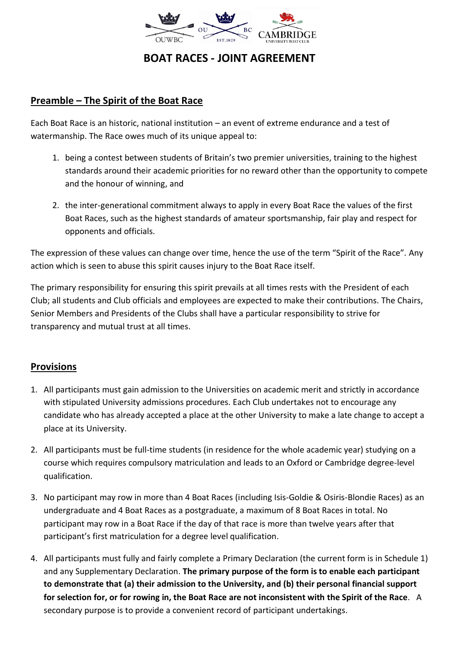

## **BOAT RACES - JOINT AGREEMENT**

### **Preamble – The Spirit of the Boat Race**

Each Boat Race is an historic, national institution – an event of extreme endurance and a test of watermanship. The Race owes much of its unique appeal to:

- 1. being a contest between students of Britain's two premier universities, training to the highest standards around their academic priorities for no reward other than the opportunity to compete and the honour of winning, and
- 2. the inter-generational commitment always to apply in every Boat Race the values of the first Boat Races, such as the highest standards of amateur sportsmanship, fair play and respect for opponents and officials.

The expression of these values can change over time, hence the use of the term "Spirit of the Race". Any action which is seen to abuse this spirit causes injury to the Boat Race itself.

The primary responsibility for ensuring this spirit prevails at all times rests with the President of each Club; all students and Club officials and employees are expected to make their contributions. The Chairs, Senior Members and Presidents of the Clubs shall have a particular responsibility to strive for transparency and mutual trust at all times.

### **Provisions**

- 1. All participants must gain admission to the Universities on academic merit and strictly in accordance with stipulated University admissions procedures. Each Club undertakes not to encourage any candidate who has already accepted a place at the other University to make a late change to accept a place at its University.
- 2. All participants must be full-time students (in residence for the whole academic year) studying on a course which requires compulsory matriculation and leads to an Oxford or Cambridge degree-level qualification.
- 3. No participant may row in more than 4 Boat Races (including Isis-Goldie & Osiris-Blondie Races) as an undergraduate and 4 Boat Races as a postgraduate, a maximum of 8 Boat Races in total. No participant may row in a Boat Race if the day of that race is more than twelve years after that participant's first matriculation for a degree level qualification.
- 4. All participants must fully and fairly complete a Primary Declaration (the current form is in Schedule 1) and any Supplementary Declaration. **The primary purpose of the form is to enable each participant to demonstrate that (a) their admission to the University, and (b) their personal financial support for selection for, or for rowing in, the Boat Race are not inconsistent with the Spirit of the Race**. A secondary purpose is to provide a convenient record of participant undertakings.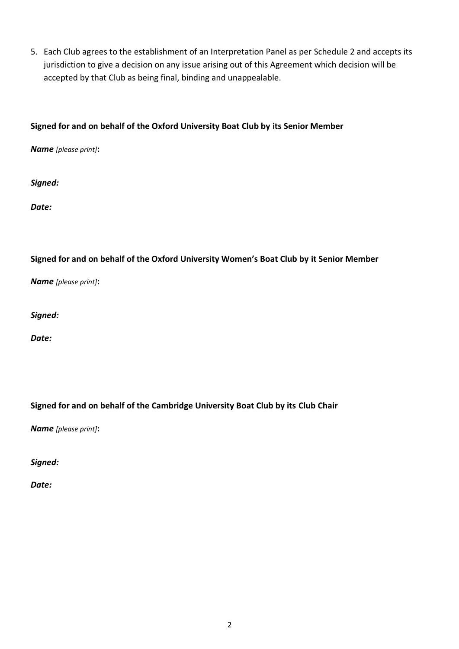5. Each Club agrees to the establishment of an Interpretation Panel as per Schedule 2 and accepts its jurisdiction to give a decision on any issue arising out of this Agreement which decision will be accepted by that Club as being final, binding and unappealable.

#### **Signed for and on behalf of the Oxford University Boat Club by its Senior Member**

*Name [please print]***:**

*Signed:*

*Date:*

#### **Signed for and on behalf of the Oxford University Women's Boat Club by it Senior Member**

*Name [please print]***:**

*Signed:*

*Date:*

### **Signed for and on behalf of the Cambridge University Boat Club by its Club Chair**

*Name [please print]***:**

*Signed:*

*Date:*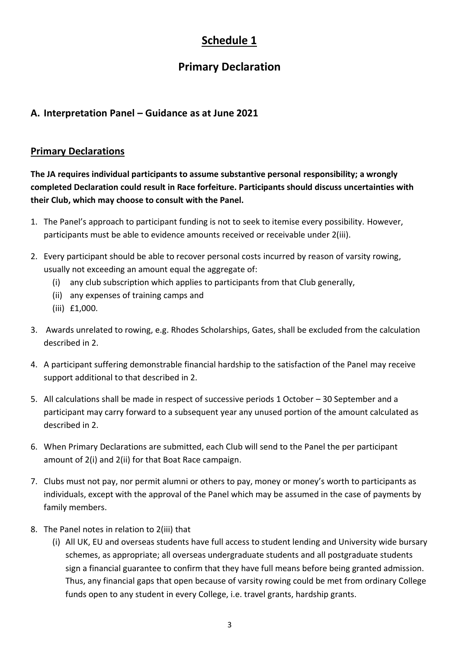# **Schedule 1**

## **Primary Declaration**

## **A. Interpretation Panel – Guidance as at June 2021**

### **Primary Declarations**

**The JA requires individual participants to assume substantive personal responsibility; a wrongly completed Declaration could result in Race forfeiture. Participants should discuss uncertainties with their Club, which may choose to consult with the Panel.**

- 1. The Panel's approach to participant funding is not to seek to itemise every possibility. However, participants must be able to evidence amounts received or receivable under 2(iii).
- 2. Every participant should be able to recover personal costs incurred by reason of varsity rowing, usually not exceeding an amount equal the aggregate of:
	- (i) any club subscription which applies to participants from that Club generally,
	- (ii) any expenses of training camps and
	- (iii) £1,000.
- 3. Awards unrelated to rowing, e.g. Rhodes Scholarships, Gates, shall be excluded from the calculation described in 2.
- 4. A participant suffering demonstrable financial hardship to the satisfaction of the Panel may receive support additional to that described in 2.
- 5. All calculations shall be made in respect of successive periods 1 October 30 September and a participant may carry forward to a subsequent year any unused portion of the amount calculated as described in 2.
- 6. When Primary Declarations are submitted, each Club will send to the Panel the per participant amount of 2(i) and 2(ii) for that Boat Race campaign.
- 7. Clubs must not pay, nor permit alumni or others to pay, money or money's worth to participants as individuals, except with the approval of the Panel which may be assumed in the case of payments by family members.
- 8. The Panel notes in relation to 2(iii) that
	- (i) All UK, EU and overseas students have full access to student lending and University wide bursary schemes, as appropriate; all overseas undergraduate students and all postgraduate students sign a financial guarantee to confirm that they have full means before being granted admission. Thus, any financial gaps that open because of varsity rowing could be met from ordinary College funds open to any student in every College, i.e. travel grants, hardship grants.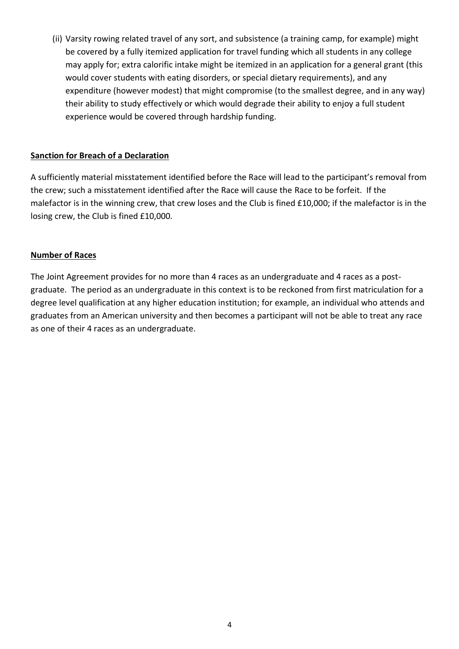(ii) Varsity rowing related travel of any sort, and subsistence (a training camp, for example) might be covered by a fully itemized application for travel funding which all students in any college may apply for; extra calorific intake might be itemized in an application for a general grant (this would cover students with eating disorders, or special dietary requirements), and any expenditure (however modest) that might compromise (to the smallest degree, and in any way) their ability to study effectively or which would degrade their ability to enjoy a full student experience would be covered through hardship funding.

#### **Sanction for Breach of a Declaration**

A sufficiently material misstatement identified before the Race will lead to the participant's removal from the crew; such a misstatement identified after the Race will cause the Race to be forfeit. If the malefactor is in the winning crew, that crew loses and the Club is fined £10,000; if the malefactor is in the losing crew, the Club is fined £10,000.

#### **Number of Races**

The Joint Agreement provides for no more than 4 races as an undergraduate and 4 races as a postgraduate. The period as an undergraduate in this context is to be reckoned from first matriculation for a degree level qualification at any higher education institution; for example, an individual who attends and graduates from an American university and then becomes a participant will not be able to treat any race as one of their 4 races as an undergraduate.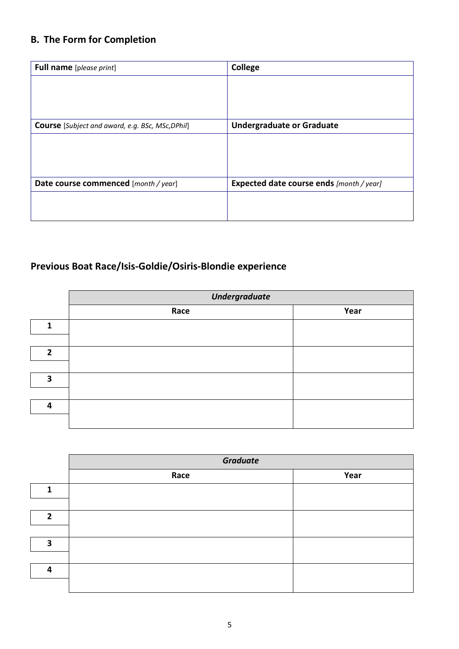# **B. The Form for Completion**

| <b>Full name</b> [please print]                         | <b>College</b>                           |
|---------------------------------------------------------|------------------------------------------|
|                                                         |                                          |
|                                                         |                                          |
|                                                         |                                          |
| <b>Course</b> [Subject and award, e.g. BSc, MSc, DPhil] | <b>Undergraduate or Graduate</b>         |
|                                                         |                                          |
|                                                         |                                          |
|                                                         |                                          |
| Date course commenced [month / year]                    | Expected date course ends [month / year] |
|                                                         |                                          |
|                                                         |                                          |

# **Previous Boat Race/Isis-Goldie/Osiris-Blondie experience**

|                | <b>Undergraduate</b> |      |  |
|----------------|----------------------|------|--|
|                | Race                 | Year |  |
| 1              |                      |      |  |
|                |                      |      |  |
| $\overline{2}$ |                      |      |  |
|                |                      |      |  |
| 3              |                      |      |  |
|                |                      |      |  |
| 4              |                      |      |  |
|                |                      |      |  |

|                | <b>Graduate</b> |      |  |
|----------------|-----------------|------|--|
|                | Race            | Year |  |
| $\mathbf 1$    |                 |      |  |
|                |                 |      |  |
| $\overline{2}$ |                 |      |  |
|                |                 |      |  |
| 3              |                 |      |  |
|                |                 |      |  |
| Δ              |                 |      |  |
|                |                 |      |  |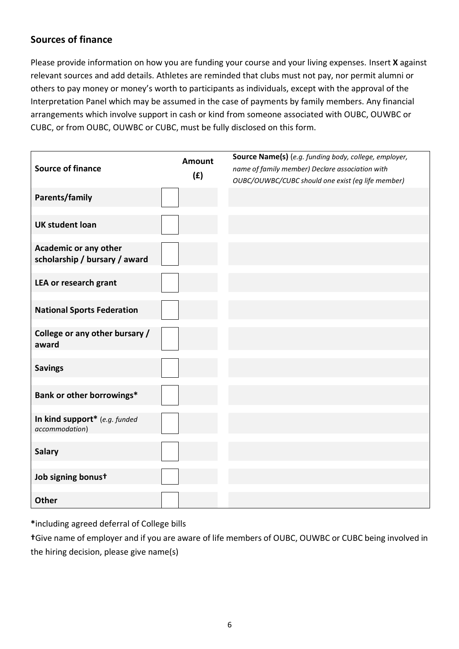## **Sources of finance**

Please provide information on how you are funding your course and your living expenses. Insert **X** against relevant sources and add details. Athletes are reminded that clubs must not pay, nor permit alumni or others to pay money or money's worth to participants as individuals, except with the approval of the Interpretation Panel which may be assumed in the case of payments by family members. Any financial arrangements which involve support in cash or kind from someone associated with OUBC, OUWBC or CUBC, or from OUBC, OUWBC or CUBC, must be fully disclosed on this form.

| <b>Source of finance</b><br><b>Parents/family</b>             | <b>Amount</b><br>(f) | Source Name(s) (e.g. funding body, college, employer,<br>name of family member) Declare association with<br>OUBC/OUWBC/CUBC should one exist (eg life member) |
|---------------------------------------------------------------|----------------------|---------------------------------------------------------------------------------------------------------------------------------------------------------------|
| <b>UK student loan</b>                                        |                      |                                                                                                                                                               |
| <b>Academic or any other</b><br>scholarship / bursary / award |                      |                                                                                                                                                               |
| LEA or research grant                                         |                      |                                                                                                                                                               |
| <b>National Sports Federation</b>                             |                      |                                                                                                                                                               |
| College or any other bursary /<br>award                       |                      |                                                                                                                                                               |
| <b>Savings</b>                                                |                      |                                                                                                                                                               |
| Bank or other borrowings*                                     |                      |                                                                                                                                                               |
| In kind support* (e.g. funded<br>accommodation)               |                      |                                                                                                                                                               |
| <b>Salary</b>                                                 |                      |                                                                                                                                                               |
| Job signing bonust                                            |                      |                                                                                                                                                               |
| <b>Other</b>                                                  |                      |                                                                                                                                                               |

**\***including agreed deferral of College bills

**†**Give name of employer and if you are aware of life members of OUBC, OUWBC or CUBC being involved in the hiring decision, please give name(s)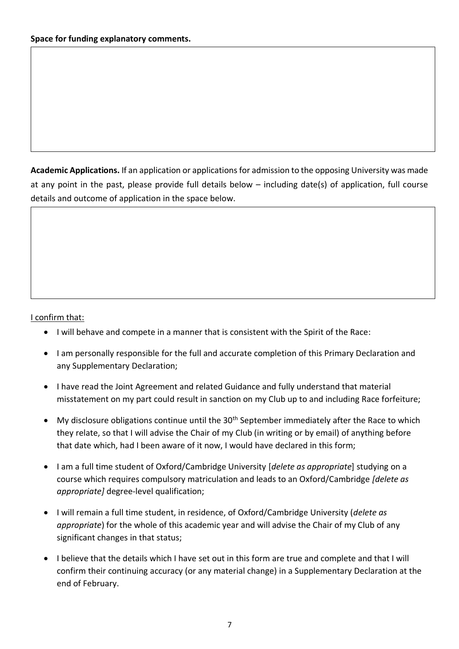**Academic Applications.** If an application or applications for admission to the opposing University was made at any point in the past, please provide full details below – including date(s) of application, full course details and outcome of application in the space below.

#### I confirm that:

- I will behave and compete in a manner that is consistent with the Spirit of the Race:
- I am personally responsible for the full and accurate completion of this Primary Declaration and any Supplementary Declaration;
- I have read the Joint Agreement and related Guidance and fully understand that material misstatement on my part could result in sanction on my Club up to and including Race forfeiture;
- My disclosure obligations continue until the  $30<sup>th</sup>$  September immediately after the Race to which they relate, so that I will advise the Chair of my Club (in writing or by email) of anything before that date which, had I been aware of it now, I would have declared in this form;
- I am a full time student of Oxford/Cambridge University [*delete as appropriate*] studying on a course which requires compulsory matriculation and leads to an Oxford/Cambridge *[delete as appropriate]* degree-level qualification;
- I will remain a full time student, in residence, of Oxford/Cambridge University (*delete as appropriate*) for the whole of this academic year and will advise the Chair of my Club of any significant changes in that status;
- I believe that the details which I have set out in this form are true and complete and that I will confirm their continuing accuracy (or any material change) in a Supplementary Declaration at the end of February.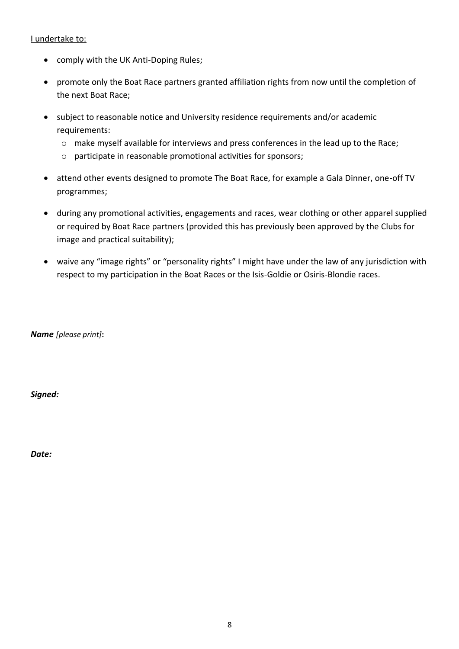#### I undertake to:

- comply with the UK Anti-Doping Rules;
- promote only the Boat Race partners granted affiliation rights from now until the completion of the next Boat Race;
- subject to reasonable notice and University residence requirements and/or academic requirements:
	- o make myself available for interviews and press conferences in the lead up to the Race;
	- o participate in reasonable promotional activities for sponsors;
- attend other events designed to promote The Boat Race, for example a Gala Dinner, one-off TV programmes;
- during any promotional activities, engagements and races, wear clothing or other apparel supplied or required by Boat Race partners (provided this has previously been approved by the Clubs for image and practical suitability);
- waive any "image rights" or "personality rights" I might have under the law of any jurisdiction with respect to my participation in the Boat Races or the Isis-Goldie or Osiris-Blondie races.

*Name [please print]***:** 

*Signed:*

*Date:*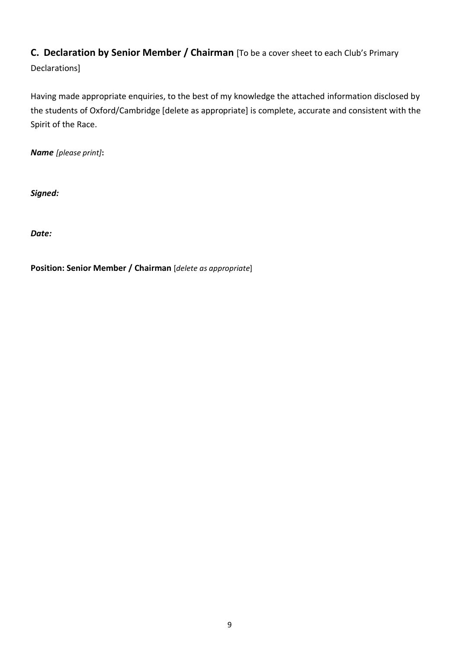## **C. Declaration by Senior Member / Chairman** [To be a cover sheet to each Club's Primary

Declarations]

Having made appropriate enquiries, to the best of my knowledge the attached information disclosed by the students of Oxford/Cambridge [delete as appropriate] is complete, accurate and consistent with the Spirit of the Race.

*Name [please print]***:** 

*Signed:*

*Date:*

**Position: Senior Member / Chairman** [*delete as appropriate*]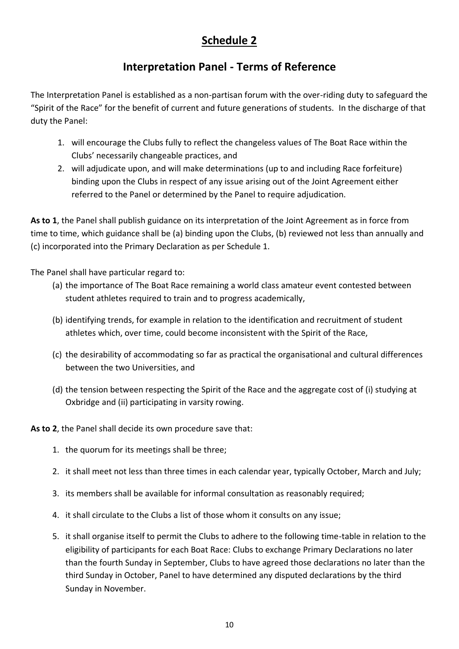# **Schedule 2**

## **Interpretation Panel - Terms of Reference**

The Interpretation Panel is established as a non-partisan forum with the over-riding duty to safeguard the "Spirit of the Race" for the benefit of current and future generations of students. In the discharge of that duty the Panel:

- 1. will encourage the Clubs fully to reflect the changeless values of The Boat Race within the Clubs' necessarily changeable practices, and
- 2. will adjudicate upon, and will make determinations (up to and including Race forfeiture) binding upon the Clubs in respect of any issue arising out of the Joint Agreement either referred to the Panel or determined by the Panel to require adjudication.

**As to 1**, the Panel shall publish guidance on its interpretation of the Joint Agreement as in force from time to time, which guidance shall be (a) binding upon the Clubs, (b) reviewed not less than annually and (c) incorporated into the Primary Declaration as per Schedule 1.

The Panel shall have particular regard to:

- (a) the importance of The Boat Race remaining a world class amateur event contested between student athletes required to train and to progress academically,
- (b) identifying trends, for example in relation to the identification and recruitment of student athletes which, over time, could become inconsistent with the Spirit of the Race,
- (c) the desirability of accommodating so far as practical the organisational and cultural differences between the two Universities, and
- (d) the tension between respecting the Spirit of the Race and the aggregate cost of (i) studying at Oxbridge and (ii) participating in varsity rowing.

**As to 2**, the Panel shall decide its own procedure save that:

- 1. the quorum for its meetings shall be three;
- 2. it shall meet not less than three times in each calendar year, typically October, March and July;
- 3. its members shall be available for informal consultation as reasonably required;
- 4. it shall circulate to the Clubs a list of those whom it consults on any issue;
- 5. it shall organise itself to permit the Clubs to adhere to the following time-table in relation to the eligibility of participants for each Boat Race: Clubs to exchange Primary Declarations no later than the fourth Sunday in September, Clubs to have agreed those declarations no later than the third Sunday in October, Panel to have determined any disputed declarations by the third Sunday in November.